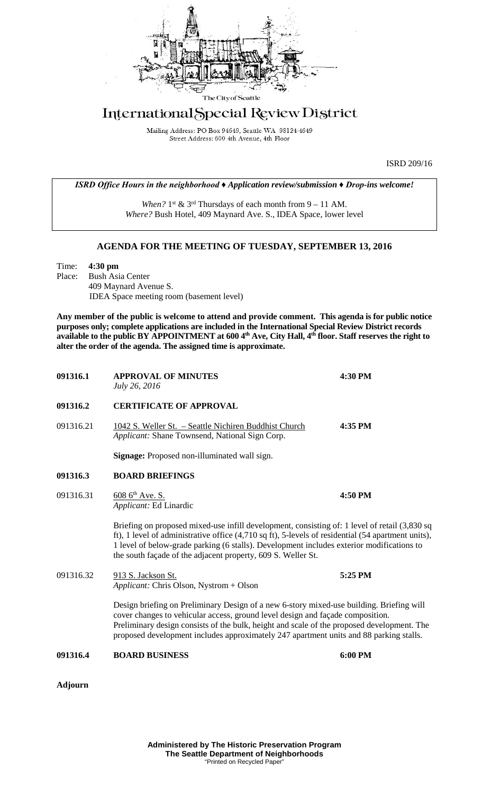

## International Special Review District

Mailing Address: PO Box 94649, Seattle WA 98124-4649 Street Address: 600 4th Avenue, 4th Floor

ISRD 209/16

*ISRD Office Hours in the neighborhood ♦ Application review/submission ♦ Drop-ins welcome!*

*When?*  $1^{st}$  &  $3^{rd}$  Thursdays of each month from  $9 - 11$  AM. *Where?* Bush Hotel, 409 Maynard Ave. S., IDEA Space, lower level

## **AGENDA FOR THE MEETING OF TUESDAY, SEPTEMBER 13, 2016**

Time: **4:30 pm** Place: Bush Asia Center 409 Maynard Avenue S. IDEA Space meeting room (basement level)

**Any member of the public is welcome to attend and provide comment. This agenda is for public notice purposes only; complete applications are included in the International Special Review District records available to the public BY APPOINTMENT at 600 4th Ave, City Hall, 4th floor. Staff reserves the right to alter the order of the agenda. The assigned time is approximate.** 

| 091316.1  | <b>APPROVAL OF MINUTES</b><br>July 26, 2016                                                                                                                                                                                                                                                                                                                        | 4:30 PM |
|-----------|--------------------------------------------------------------------------------------------------------------------------------------------------------------------------------------------------------------------------------------------------------------------------------------------------------------------------------------------------------------------|---------|
| 091316.2  | <b>CERTIFICATE OF APPROVAL</b>                                                                                                                                                                                                                                                                                                                                     |         |
| 091316.21 | 1042 S. Weller St. - Seattle Nichiren Buddhist Church<br>Applicant: Shane Townsend, National Sign Corp.                                                                                                                                                                                                                                                            | 4:35 PM |
|           | Signage: Proposed non-illuminated wall sign.                                                                                                                                                                                                                                                                                                                       |         |
| 091316.3  | <b>BOARD BRIEFINGS</b>                                                                                                                                                                                                                                                                                                                                             |         |
| 091316.31 | $6086^{\text{th}}$ Ave. S.<br>Applicant: Ed Linardic                                                                                                                                                                                                                                                                                                               | 4:50 PM |
|           | Briefing on proposed mixed-use infill development, consisting of: 1 level of retail (3,830 sq<br>ft), 1 level of administrative office (4,710 sq ft), 5-levels of residential (54 apartment units),<br>1 level of below-grade parking (6 stalls). Development includes exterior modifications to<br>the south façade of the adjacent property, 609 S. Weller St.   |         |
| 091316.32 | 913 S. Jackson St.<br>Applicant: Chris Olson, Nystrom + Olson                                                                                                                                                                                                                                                                                                      | 5:25 PM |
|           | Design briefing on Preliminary Design of a new 6-story mixed-use building. Briefing will<br>cover changes to vehicular access, ground level design and façade composition.<br>Preliminary design consists of the bulk, height and scale of the proposed development. The<br>proposed development includes approximately 247 apartment units and 88 parking stalls. |         |
| 091316.4  | <b>BOARD BUSINESS</b>                                                                                                                                                                                                                                                                                                                                              | 6:00 PM |
|           |                                                                                                                                                                                                                                                                                                                                                                    |         |

**Adjourn**